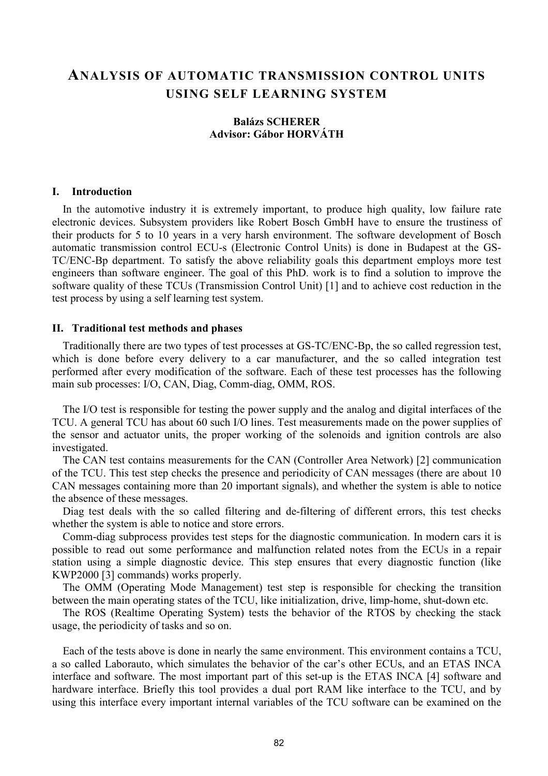# ANALYSIS OF AUTOMATIC TRANSMISSION CONTROL UNITS USING SELF LEARNING SYSTEM

# Balázs SCHERER Advisor: Gábor HORVÁTH

# I. Introduction

In the automotive industry it is extremely important, to produce high quality, low failure rate electronic devices. Subsystem providers like Robert Bosch GmbH have to ensure the trustiness of their products for 5 to 10 years in a very harsh environment. The software development of Bosch automatic transmission control ECU-s (Electronic Control Units) is done in Budapest at the GS-TC/ENC-Bp department. To satisfy the above reliability goals this department employs more test engineers than software engineer. The goal of this PhD. work is to find a solution to improve the software quality of these TCUs (Transmission Control Unit) [1] and to achieve cost reduction in the test process by using a self learning test system.

# II. Traditional test methods and phases

Traditionally there are two types of test processes at GS-TC/ENC-Bp, the so called regression test, which is done before every delivery to a car manufacturer, and the so called integration test performed after every modification of the software. Each of these test processes has the following main sub processes: I/O, CAN, Diag, Comm-diag, OMM, ROS.

The I/O test is responsible for testing the power supply and the analog and digital interfaces of the TCU. A general TCU has about 60 such I/O lines. Test measurements made on the power supplies of the sensor and actuator units, the proper working of the solenoids and ignition controls are also investigated.

The CAN test contains measurements for the CAN (Controller Area Network) [2] communication of the TCU. This test step checks the presence and periodicity of CAN messages (there are about 10 CAN messages containing more than 20 important signals), and whether the system is able to notice the absence of these messages.

Diag test deals with the so called filtering and de-filtering of different errors, this test checks whether the system is able to notice and store errors.

Comm-diag subprocess provides test steps for the diagnostic communication. In modern cars it is possible to read out some performance and malfunction related notes from the ECUs in a repair station using a simple diagnostic device. This step ensures that every diagnostic function (like KWP2000 [3] commands) works properly.

The OMM (Operating Mode Management) test step is responsible for checking the transition between the main operating states of the TCU, like initialization, drive, limp-home, shut-down etc.

The ROS (Realtime Operating System) tests the behavior of the RTOS by checking the stack usage, the periodicity of tasks and so on.

Each of the tests above is done in nearly the same environment. This environment contains a TCU, a so called Laborauto, which simulates the behavior of the car's other ECUs, and an ETAS INCA interface and software. The most important part of this set-up is the ETAS INCA [4] software and hardware interface. Briefly this tool provides a dual port RAM like interface to the TCU, and by using this interface every important internal variables of the TCU software can be examined on the